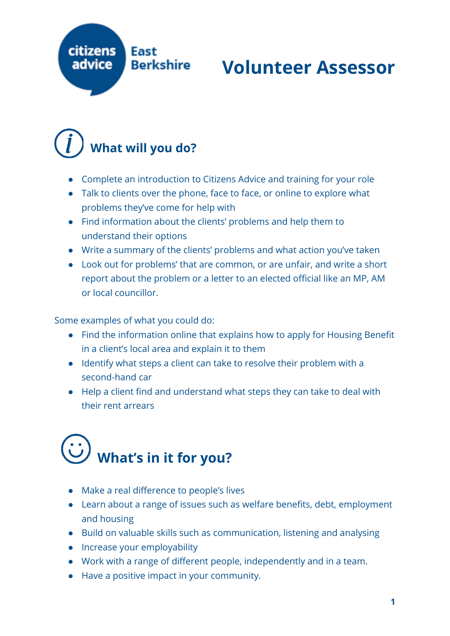

#### **Volunteer Assessor**

#### **What will you do?**

- Complete an introduction to Citizens Advice and training for your role
- Talk to clients over the phone, face to face, or online to explore what problems they've come for help with
- Find information about the clients' problems and help them to understand their options
- Write a summary of the clients' problems and what action you've taken
- Look out for problems' that are common, or are unfair, and write a short report about the problem or a letter to an elected official like an MP, AM or local councillor.

Some examples of what you could do:

- Find the information online that explains how to apply for Housing Benefit in a client's local area and explain it to them
- Identify what steps a client can take to resolve their problem with a second-hand car
- Help a client find and understand what steps they can take to deal with their rent arrears

## **What's in it for you?**

- Make a real difference to people's lives
- Learn about a range of issues such as welfare benefits, debt, employment and housing
- Build on valuable skills such as communication, listening and analysing
- Increase your employability
- Work with a range of different people, independently and in a team.
- Have a positive impact in your community.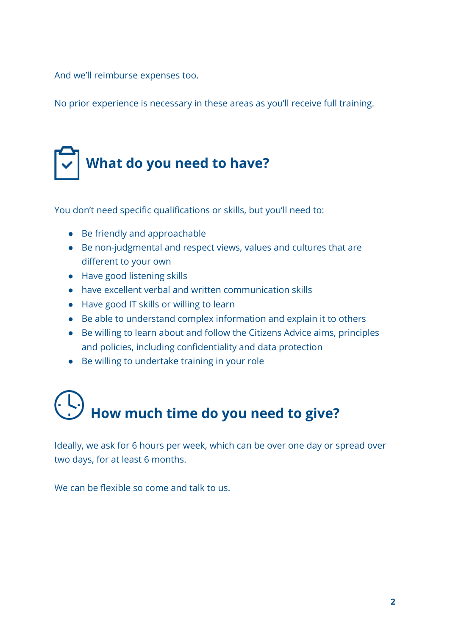And we'll reimburse expenses too.

No prior experience is necessary in these areas as you'll receive full training.

### **What do you need to have?**

You don't need specific qualifications or skills, but you'll need to:

- Be friendly and approachable
- Be non-judgmental and respect views, values and cultures that are different to your own
- Have good listening skills
- have excellent verbal and written communication skills
- Have good IT skills or willing to learn
- Be able to understand complex information and explain it to others
- Be willing to learn about and follow the Citizens Advice aims, principles and policies, including confidentiality and data protection
- Be willing to undertake training in your role

# **How much time do you need to give?**

Ideally, we ask for 6 hours per week, which can be over one day or spread over two days, for at least 6 months.

We can be flexible so come and talk to us.